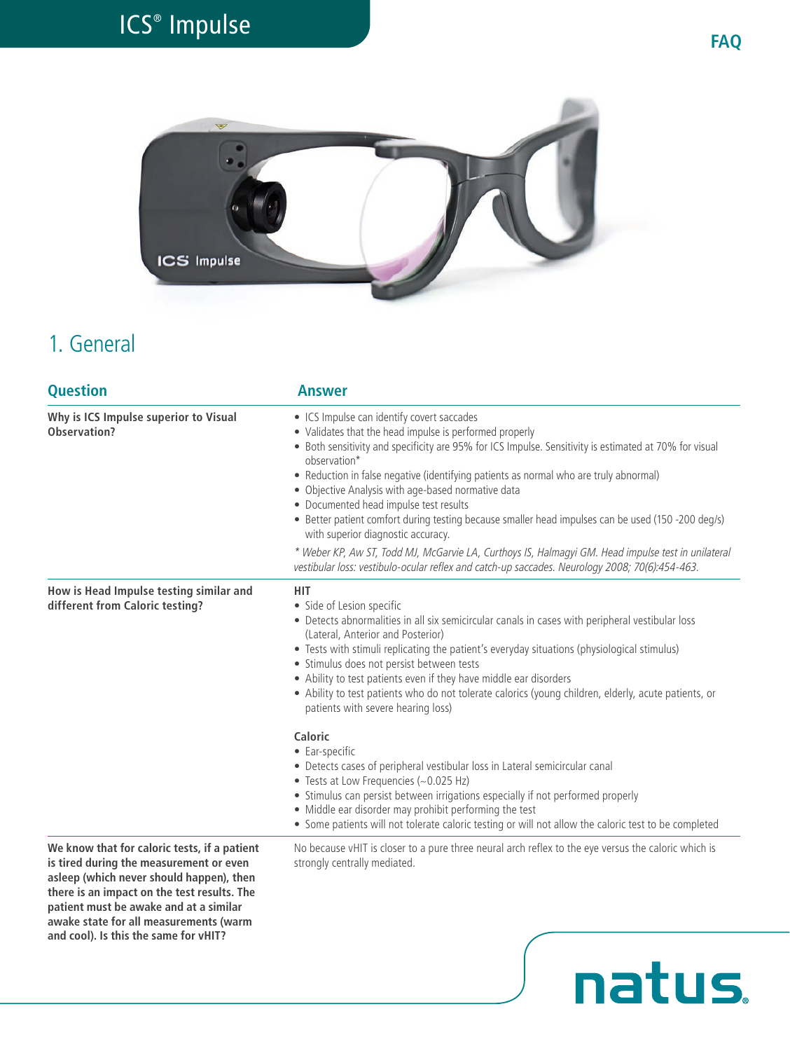# ICS® Impulse **FAQ**



### 1. General

| <b>Question</b>                                                                                                                                                                                                                                                                                                 | <b>Answer</b>                                                                                                                                                                                                                                                                                                                                                                                                                                                                                                                                                                                                                                                                                                                                                                                          |
|-----------------------------------------------------------------------------------------------------------------------------------------------------------------------------------------------------------------------------------------------------------------------------------------------------------------|--------------------------------------------------------------------------------------------------------------------------------------------------------------------------------------------------------------------------------------------------------------------------------------------------------------------------------------------------------------------------------------------------------------------------------------------------------------------------------------------------------------------------------------------------------------------------------------------------------------------------------------------------------------------------------------------------------------------------------------------------------------------------------------------------------|
| Why is ICS Impulse superior to Visual<br>Observation?                                                                                                                                                                                                                                                           | • ICS Impulse can identify covert saccades<br>• Validates that the head impulse is performed properly<br>• Both sensitivity and specificity are 95% for ICS Impulse. Sensitivity is estimated at 70% for visual<br>observation*<br>• Reduction in false negative (identifying patients as normal who are truly abnormal)<br>• Objective Analysis with age-based normative data<br>• Documented head impulse test results<br>• Better patient comfort during testing because smaller head impulses can be used (150 -200 deg/s)<br>with superior diagnostic accuracy.<br>* Weber KP, Aw ST, Todd MJ, McGarvie LA, Curthoys IS, Halmagyi GM. Head impulse test in unilateral                                                                                                                             |
| How is Head Impulse testing similar and<br>different from Caloric testing?                                                                                                                                                                                                                                      | vestibular loss: vestibulo-ocular reflex and catch-up saccades. Neurology 2008; 70(6):454-463.<br><b>HIT</b><br>• Side of Lesion specific<br>• Detects abnormalities in all six semicircular canals in cases with peripheral vestibular loss<br>(Lateral, Anterior and Posterior)<br>• Tests with stimuli replicating the patient's everyday situations (physiological stimulus)<br>· Stimulus does not persist between tests<br>• Ability to test patients even if they have middle ear disorders<br>• Ability to test patients who do not tolerate calorics (young children, elderly, acute patients, or<br>patients with severe hearing loss)<br>Caloric<br>• Ear-specific<br>• Detects cases of peripheral vestibular loss in Lateral semicircular canal<br>• Tests at Low Frequencies (~0.025 Hz) |
|                                                                                                                                                                                                                                                                                                                 | • Stimulus can persist between irrigations especially if not performed properly<br>• Middle ear disorder may prohibit performing the test<br>• Some patients will not tolerate caloric testing or will not allow the caloric test to be completed                                                                                                                                                                                                                                                                                                                                                                                                                                                                                                                                                      |
| We know that for caloric tests, if a patient<br>is tired during the measurement or even<br>asleep (which never should happen), then<br>there is an impact on the test results. The<br>patient must be awake and at a similar<br>awake state for all measurements (warm<br>and cool). Is this the same for vHIT? | No because vHIT is closer to a pure three neural arch reflex to the eye versus the caloric which is<br>strongly centrally mediated.                                                                                                                                                                                                                                                                                                                                                                                                                                                                                                                                                                                                                                                                    |
|                                                                                                                                                                                                                                                                                                                 | <b>natus</b>                                                                                                                                                                                                                                                                                                                                                                                                                                                                                                                                                                                                                                                                                                                                                                                           |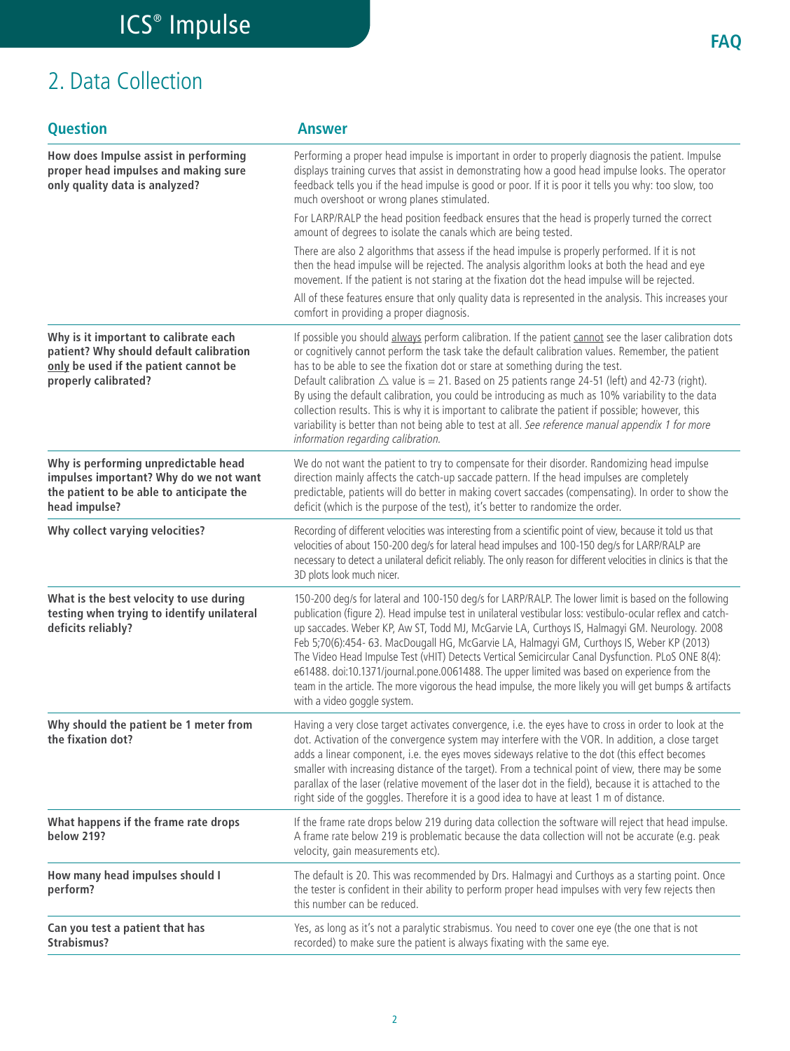## 2. Data Collection

| <b>Question</b>                                                                                                                                   | <b>Answer</b>                                                                                                                                                                                                                                                                                                                                                                                                                                                                                                                                                                                                                                                                                                                                                      |
|---------------------------------------------------------------------------------------------------------------------------------------------------|--------------------------------------------------------------------------------------------------------------------------------------------------------------------------------------------------------------------------------------------------------------------------------------------------------------------------------------------------------------------------------------------------------------------------------------------------------------------------------------------------------------------------------------------------------------------------------------------------------------------------------------------------------------------------------------------------------------------------------------------------------------------|
| How does Impulse assist in performing<br>proper head impulses and making sure<br>only quality data is analyzed?                                   | Performing a proper head impulse is important in order to properly diagnosis the patient. Impulse<br>displays training curves that assist in demonstrating how a good head impulse looks. The operator<br>feedback tells you if the head impulse is good or poor. If it is poor it tells you why: too slow, too<br>much overshoot or wrong planes stimulated.<br>For LARP/RALP the head position feedback ensures that the head is properly turned the correct<br>amount of degrees to isolate the canals which are being tested.                                                                                                                                                                                                                                  |
|                                                                                                                                                   | There are also 2 algorithms that assess if the head impulse is properly performed. If it is not<br>then the head impulse will be rejected. The analysis algorithm looks at both the head and eye<br>movement. If the patient is not staring at the fixation dot the head impulse will be rejected.<br>All of these features ensure that only quality data is represented in the analysis. This increases your<br>comfort in providing a proper diagnosis.                                                                                                                                                                                                                                                                                                          |
| Why is it important to calibrate each<br>patient? Why should default calibration<br>only be used if the patient cannot be<br>properly calibrated? | If possible you should always perform calibration. If the patient cannot see the laser calibration dots<br>or cognitively cannot perform the task take the default calibration values. Remember, the patient<br>has to be able to see the fixation dot or stare at something during the test.<br>Default calibration $\triangle$ value is = 21. Based on 25 patients range 24-51 (left) and 42-73 (right).<br>By using the default calibration, you could be introducing as much as 10% variability to the data<br>collection results. This is why it is important to calibrate the patient if possible; however, this<br>variability is better than not being able to test at all. See reference manual appendix 1 for more<br>information regarding calibration. |
| Why is performing unpredictable head<br>impulses important? Why do we not want<br>the patient to be able to anticipate the<br>head impulse?       | We do not want the patient to try to compensate for their disorder. Randomizing head impulse<br>direction mainly affects the catch-up saccade pattern. If the head impulses are completely<br>predictable, patients will do better in making covert saccades (compensating). In order to show the<br>deficit (which is the purpose of the test), it's better to randomize the order.                                                                                                                                                                                                                                                                                                                                                                               |
| Why collect varying velocities?                                                                                                                   | Recording of different velocities was interesting from a scientific point of view, because it told us that<br>velocities of about 150-200 deg/s for lateral head impulses and 100-150 deg/s for LARP/RALP are<br>necessary to detect a unilateral deficit reliably. The only reason for different velocities in clinics is that the<br>3D plots look much nicer.                                                                                                                                                                                                                                                                                                                                                                                                   |
| What is the best velocity to use during<br>testing when trying to identify unilateral<br>deficits reliably?                                       | 150-200 deg/s for lateral and 100-150 deg/s for LARP/RALP. The lower limit is based on the following<br>publication (figure 2). Head impulse test in unilateral vestibular loss: vestibulo-ocular reflex and catch-<br>up saccades. Weber KP, Aw ST, Todd MJ, McGarvie LA, Curthoys IS, Halmagyi GM. Neurology. 2008<br>Feb 5;70(6):454- 63. MacDougall HG, McGarvie LA, Halmagyi GM, Curthoys IS, Weber KP (2013)<br>The Video Head Impulse Test (vHIT) Detects Vertical Semicircular Canal Dysfunction. PLoS ONE 8(4):<br>e61488. doi:10.1371/journal.pone.0061488. The upper limited was based on experience from the<br>team in the article. The more vigorous the head impulse, the more likely you will get bumps & artifacts<br>with a video goggle system. |
| Why should the patient be 1 meter from<br>the fixation dot?                                                                                       | Having a very close target activates convergence, i.e. the eyes have to cross in order to look at the<br>dot. Activation of the convergence system may interfere with the VOR. In addition, a close target<br>adds a linear component, i.e. the eyes moves sideways relative to the dot (this effect becomes<br>smaller with increasing distance of the target). From a technical point of view, there may be some<br>parallax of the laser (relative movement of the laser dot in the field), because it is attached to the<br>right side of the goggles. Therefore it is a good idea to have at least 1 m of distance.                                                                                                                                           |
| What happens if the frame rate drops<br><b>below 219?</b>                                                                                         | If the frame rate drops below 219 during data collection the software will reject that head impulse.<br>A frame rate below 219 is problematic because the data collection will not be accurate (e.g. peak<br>velocity, gain measurements etc).                                                                                                                                                                                                                                                                                                                                                                                                                                                                                                                     |
| How many head impulses should I<br>perform?                                                                                                       | The default is 20. This was recommended by Drs. Halmagyi and Curthoys as a starting point. Once<br>the tester is confident in their ability to perform proper head impulses with very few rejects then<br>this number can be reduced.                                                                                                                                                                                                                                                                                                                                                                                                                                                                                                                              |
| Can you test a patient that has<br>Strabismus?                                                                                                    | Yes, as long as it's not a paralytic strabismus. You need to cover one eye (the one that is not<br>recorded) to make sure the patient is always fixating with the same eye.                                                                                                                                                                                                                                                                                                                                                                                                                                                                                                                                                                                        |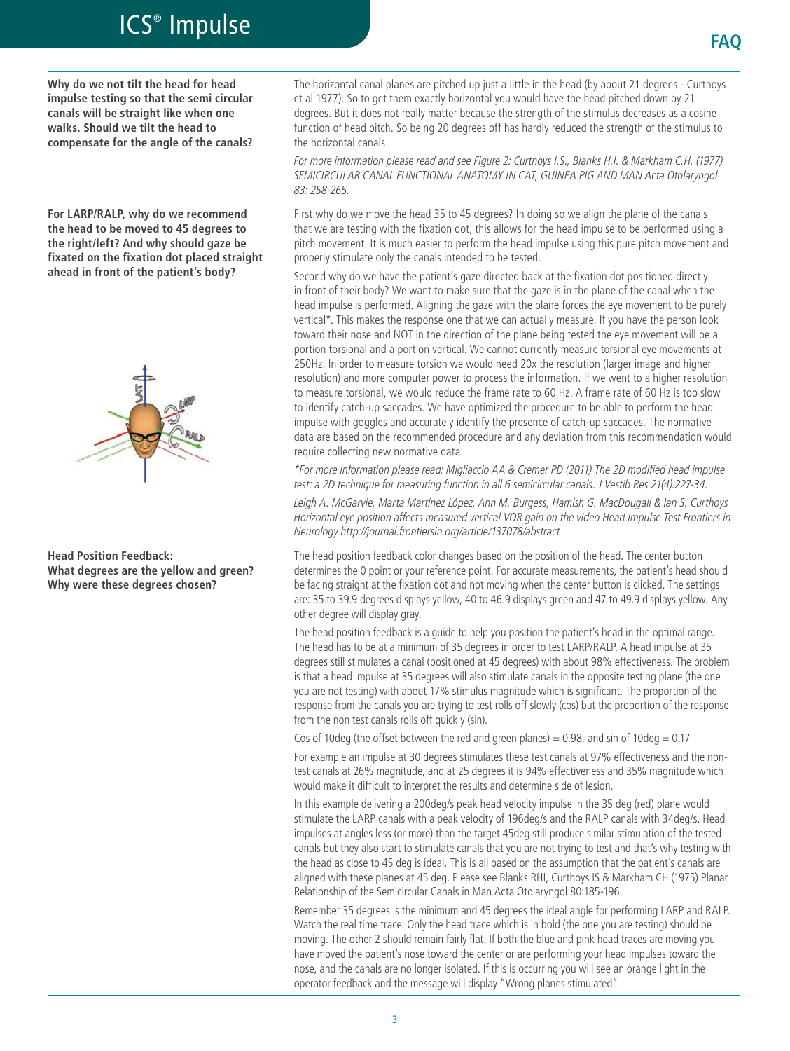**Why do we not tilt the head for head impulse testing so that the semi circular canals will be straight like when one walks. Should we tilt the head to compensate for the angle of the canals?**

**For LARP/RALP, why do we recommend the head to be moved to 45 degrees to the right/left? And why should gaze be fixated on the fixation dot placed straight ahead in front of the patient's body?**



**Head Position Feedback: What degrees are the yellow and green? Why were these degrees chosen?**

The horizontal canal planes are pitched up just a little in the head (by about 21 degrees - Curthoys et al 1977). So to get them exactly horizontal you would have the head pitched down by 21 degrees. But it does not really matter because the strength of the stimulus decreases as a cosine function of head pitch. So being 20 degrees off has hardly reduced the strength of the stimulus to the horizontal canals.

*For more information please read and see Figure 2: Curthoys I.S., Blanks H.I. & Markham C.H. (1977) SEMICIRCULAR CANAL FUNCTIONAL ANATOMY IN CAT, GUINEA PIG AND MAN Acta Otolaryngol 83: 258-265.*

First why do we move the head 35 to 45 degrees? In doing so we align the plane of the canals that we are testing with the fixation dot, this allows for the head impulse to be performed using a pitch movement. It is much easier to perform the head impulse using this pure pitch movement and properly stimulate only the canals intended to be tested.

Second why do we have the patient's gaze directed back at the fixation dot positioned directly in front of their body? We want to make sure that the gaze is in the plane of the canal when the head impulse is performed. Aligning the gaze with the plane forces the eye movement to be purely vertical\*. This makes the response one that we can actually measure. If you have the person look toward their nose and NOT in the direction of the plane being tested the eye movement will be a portion torsional and a portion vertical. We cannot currently measure torsional eye movements at 250Hz. In order to measure torsion we would need 20x the resolution (larger image and higher resolution) and more computer power to process the information. If we went to a higher resolution to measure torsional, we would reduce the frame rate to 60 Hz. A frame rate of 60 Hz is too slow to identify catch-up saccades. We have optimized the procedure to be able to perform the head impulse with goggles and accurately identify the presence of catch-up saccades. The normative data are based on the recommended procedure and any deviation from this recommendation would require collecting new normative data.

*\*For more information please read: Migliaccio AA & Cremer PD (2011) The 2D modified head impulse test: a 2D technique for measuring function in all 6 semicircular canals. J Vestib Res 21(4):227-34. Leigh A. McGarvie, Marta Martínez López, Ann M. Burgess, Hamish G. MacDougall & Ian S. Curthoys Horizontal eye position affects measured vertical VOR gain on the video Head Impulse Test Frontiers in Neurology http://journal.frontiersin.org/article/137078/abstract*

The head position feedback color changes based on the position of the head. The center button determines the 0 point or your reference point. For accurate measurements, the patient's head should be facing straight at the fixation dot and not moving when the center button is clicked. The settings are: 35 to 39.9 degrees displays yellow, 40 to 46.9 displays green and 47 to 49.9 displays yellow. Any other degree will display gray.

The head position feedback is a guide to help you position the patient's head in the optimal range. The head has to be at a minimum of 35 degrees in order to test LARP/RALP. A head impulse at 35 degrees still stimulates a canal (positioned at 45 degrees) with about 98% effectiveness. The problem is that a head impulse at 35 degrees will also stimulate canals in the opposite testing plane (the one you are not testing) with about 17% stimulus magnitude which is significant. The proportion of the response from the canals you are trying to test rolls off slowly (cos) but the proportion of the response from the non test canals rolls off quickly (sin).

Cos of 10deg (the offset between the red and green planes) = 0.98, and sin of 10deg =  $0.17$ 

For example an impulse at 30 degrees stimulates these test canals at 97% effectiveness and the nontest canals at 26% magnitude, and at 25 degrees it is 94% effectiveness and 35% magnitude which would make it difficult to interpret the results and determine side of lesion.

In this example delivering a 200deg/s peak head velocity impulse in the 35 deg (red) plane would stimulate the LARP canals with a peak velocity of 196deg/s and the RALP canals with 34deg/s. Head impulses at angles less (or more) than the target 45deg still produce similar stimulation of the tested canals but they also start to stimulate canals that you are not trying to test and that's why testing with the head as close to 45 deg is ideal. This is all based on the assumption that the patient's canals are aligned with these planes at 45 deg. Please see Blanks RHI, Curthoys IS & Markham CH (1975) Planar Relationship of the Semicircular Canals in Man Acta Otolaryngol 80:185-196.

Remember 35 degrees is the minimum and 45 degrees the ideal angle for performing LARP and RALP. Watch the real time trace. Only the head trace which is in bold (the one you are testing) should be moving. The other 2 should remain fairly flat. If both the blue and pink head traces are moving you have moved the patient's nose toward the center or are performing your head impulses toward the nose, and the canals are no longer isolated. If this is occurring you will see an orange light in the operator feedback and the message will display "Wrong planes stimulated".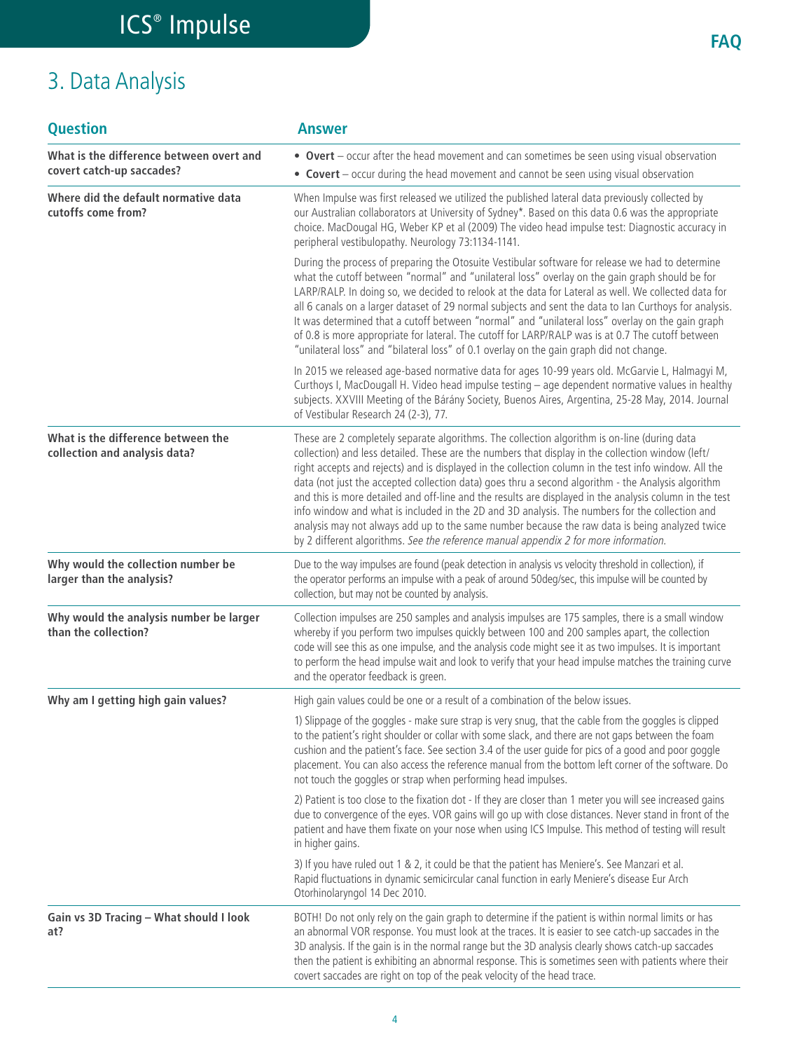## 3. Data Analysis

| <b>Question</b>                                                       | <b>Answer</b>                                                                                                                                                                                                                                                                                                                                                                                                                                                                                                                                                                                                                                                                                                                                                                                                           |
|-----------------------------------------------------------------------|-------------------------------------------------------------------------------------------------------------------------------------------------------------------------------------------------------------------------------------------------------------------------------------------------------------------------------------------------------------------------------------------------------------------------------------------------------------------------------------------------------------------------------------------------------------------------------------------------------------------------------------------------------------------------------------------------------------------------------------------------------------------------------------------------------------------------|
| What is the difference between overt and<br>covert catch-up saccades? | • Overt - occur after the head movement and can sometimes be seen using visual observation<br>• Covert – occur during the head movement and cannot be seen using visual observation                                                                                                                                                                                                                                                                                                                                                                                                                                                                                                                                                                                                                                     |
| Where did the default normative data<br>cutoffs come from?            | When Impulse was first released we utilized the published lateral data previously collected by<br>our Australian collaborators at University of Sydney*. Based on this data 0.6 was the appropriate<br>choice. MacDougal HG, Weber KP et al (2009) The video head impulse test: Diagnostic accuracy in<br>peripheral vestibulopathy. Neurology 73:1134-1141.                                                                                                                                                                                                                                                                                                                                                                                                                                                            |
|                                                                       | During the process of preparing the Otosuite Vestibular software for release we had to determine<br>what the cutoff between "normal" and "unilateral loss" overlay on the gain graph should be for<br>LARP/RALP. In doing so, we decided to relook at the data for Lateral as well. We collected data for<br>all 6 canals on a larger dataset of 29 normal subjects and sent the data to lan Curthoys for analysis.<br>It was determined that a cutoff between "normal" and "unilateral loss" overlay on the gain graph<br>of 0.8 is more appropriate for lateral. The cutoff for LARP/RALP was is at 0.7 The cutoff between<br>"unilateral loss" and "bilateral loss" of 0.1 overlay on the gain graph did not change.                                                                                                 |
|                                                                       | In 2015 we released age-based normative data for ages 10-99 years old. McGarvie L, Halmagyi M,<br>Curthoys I, MacDougall H. Video head impulse testing - age dependent normative values in healthy<br>subjects. XXVIII Meeting of the Bárány Society, Buenos Aires, Argentina, 25-28 May, 2014. Journal<br>of Vestibular Research 24 (2-3), 77.                                                                                                                                                                                                                                                                                                                                                                                                                                                                         |
| What is the difference between the<br>collection and analysis data?   | These are 2 completely separate algorithms. The collection algorithm is on-line (during data<br>collection) and less detailed. These are the numbers that display in the collection window (left/<br>right accepts and rejects) and is displayed in the collection column in the test info window. All the<br>data (not just the accepted collection data) goes thru a second algorithm - the Analysis algorithm<br>and this is more detailed and off-line and the results are displayed in the analysis column in the test<br>info window and what is included in the 2D and 3D analysis. The numbers for the collection and<br>analysis may not always add up to the same number because the raw data is being analyzed twice<br>by 2 different algorithms. See the reference manual appendix 2 for more information. |
| Why would the collection number be<br>larger than the analysis?       | Due to the way impulses are found (peak detection in analysis vs velocity threshold in collection), if<br>the operator performs an impulse with a peak of around 50deg/sec, this impulse will be counted by<br>collection, but may not be counted by analysis.                                                                                                                                                                                                                                                                                                                                                                                                                                                                                                                                                          |
| Why would the analysis number be larger<br>than the collection?       | Collection impulses are 250 samples and analysis impulses are 175 samples, there is a small window<br>whereby if you perform two impulses quickly between 100 and 200 samples apart, the collection<br>code will see this as one impulse, and the analysis code might see it as two impulses. It is important<br>to perform the head impulse wait and look to verify that your head impulse matches the training curve<br>and the operator feedback is green.                                                                                                                                                                                                                                                                                                                                                           |
| Why am I getting high gain values?                                    | High gain values could be one or a result of a combination of the below issues.                                                                                                                                                                                                                                                                                                                                                                                                                                                                                                                                                                                                                                                                                                                                         |
|                                                                       | 1) Slippage of the goggles - make sure strap is very snug, that the cable from the goggles is clipped<br>to the patient's right shoulder or collar with some slack, and there are not gaps between the foam<br>cushion and the patient's face. See section 3.4 of the user guide for pics of a good and poor goggle<br>placement. You can also access the reference manual from the bottom left corner of the software. Do<br>not touch the goggles or strap when performing head impulses.                                                                                                                                                                                                                                                                                                                             |
|                                                                       | 2) Patient is too close to the fixation dot - If they are closer than 1 meter you will see increased gains<br>due to convergence of the eyes. VOR gains will go up with close distances. Never stand in front of the<br>patient and have them fixate on your nose when using ICS Impulse. This method of testing will result<br>in higher gains.                                                                                                                                                                                                                                                                                                                                                                                                                                                                        |
|                                                                       | 3) If you have ruled out 1 & 2, it could be that the patient has Meniere's. See Manzari et al.<br>Rapid fluctuations in dynamic semicircular canal function in early Meniere's disease Eur Arch<br>Otorhinolaryngol 14 Dec 2010.                                                                                                                                                                                                                                                                                                                                                                                                                                                                                                                                                                                        |
| Gain vs 3D Tracing - What should I look<br>at?                        | BOTH! Do not only rely on the gain graph to determine if the patient is within normal limits or has<br>an abnormal VOR response. You must look at the traces. It is easier to see catch-up saccades in the<br>3D analysis. If the gain is in the normal range but the 3D analysis clearly shows catch-up saccades<br>then the patient is exhibiting an abnormal response. This is sometimes seen with patients where their<br>covert saccades are right on top of the peak velocity of the head trace.                                                                                                                                                                                                                                                                                                                  |